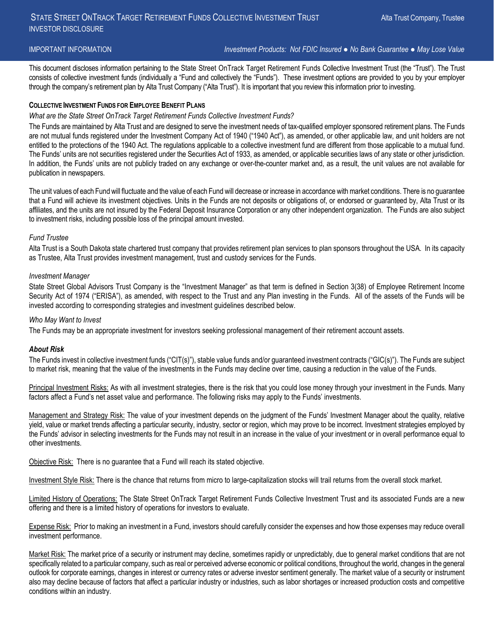IMPORTANT INFORMATION *Investment Products: Not FDIC Insured ● No Bank Guarantee ● May Lose Value*

This document discloses information pertaining to the State Street OnTrack Target Retirement Funds Collective Investment Trust (the "Trust"). The Trust consists of collective investment funds (individually a "Fund and collectively the "Funds"). These investment options are provided to you by your employer through the company's retirement plan by Alta Trust Company ("Alta Trust"). It is important that you review this information prior to investing.

#### **COLLECTIVE INVESTMENT FUNDS FOR EMPLOYEE BENEFIT PLANS**

#### *What are the State Street OnTrack Target Retirement Funds Collective Investment Funds?*

The Funds are maintained by Alta Trust and are designed to serve the investment needs of tax-qualified employer sponsored retirement plans. The Funds are not mutual funds registered under the Investment Company Act of 1940 ("1940 Act"), as amended, or other applicable law, and unit holders are not entitled to the protections of the 1940 Act. The regulations applicable to a collective investment fund are different from those applicable to a mutual fund. The Funds' units are not securities registered under the Securities Act of 1933, as amended, or applicable securities laws of any state or other jurisdiction. In addition, the Funds' units are not publicly traded on any exchange or over-the-counter market and, as a result, the unit values are not available for publication in newspapers.

The unit values of each Fund will fluctuate and the value of each Fund will decrease or increase in accordance with market conditions. There is no guarantee that a Fund will achieve its investment objectives. Units in the Funds are not deposits or obligations of, or endorsed or guaranteed by, Alta Trust or its affiliates, and the units are not insured by the Federal Deposit Insurance Corporation or any other independent organization. The Funds are also subject to investment risks, including possible loss of the principal amount invested.

#### *Fund Trustee*

Alta Trust is a South Dakota state chartered trust company that provides retirement plan services to plan sponsors throughout the USA. In its capacity as Trustee, Alta Trust provides investment management, trust and custody services for the Funds.

#### *Investment Manager*

State Street Global Advisors Trust Company is the "Investment Manager" as that term is defined in Section 3(38) of Employee Retirement Income Security Act of 1974 ("ERISA"), as amended, with respect to the Trust and any Plan investing in the Funds. All of the assets of the Funds will be invested according to corresponding strategies and investment guidelines described below.

#### *Who May Want to Invest*

The Funds may be an appropriate investment for investors seeking professional management of their retirement account assets.

#### *About Risk*

The Funds invest in collective investment funds ("CIT(s)"), stable value funds and/or guaranteed investment contracts ("GIC(s)"). The Funds are subject to market risk, meaning that the value of the investments in the Funds may decline over time, causing a reduction in the value of the Funds.

Principal Investment Risks: As with all investment strategies, there is the risk that you could lose money through your investment in the Funds. Many factors affect a Fund's net asset value and performance. The following risks may apply to the Funds' investments.

Management and Strategy Risk: The value of your investment depends on the judgment of the Funds' Investment Manager about the quality, relative yield, value or market trends affecting a particular security, industry, sector or region, which may prove to be incorrect. Investment strategies employed by the Funds' advisor in selecting investments for the Funds may not result in an increase in the value of your investment or in overall performance equal to other investments.

Objective Risk: There is no guarantee that a Fund will reach its stated objective.

Investment Style Risk: There is the chance that returns from micro to large-capitalization stocks will trail returns from the overall stock market.

Limited History of Operations: The State Street OnTrack Target Retirement Funds Collective Investment Trust and its associated Funds are a new offering and there is a limited history of operations for investors to evaluate.

Expense Risk: Prior to making an investment in a Fund, investors should carefully consider the expenses and how those expenses may reduce overall investment performance.

Market Risk: The market price of a security or instrument may decline, sometimes rapidly or unpredictably, due to general market conditions that are not specifically related to a particular company, such as real or perceived adverse economic or political conditions, throughout the world, changes in the general outlook for corporate earnings, changes in interest or currency rates or adverse investor sentiment generally. The market value of a security or instrument also may decline because of factors that affect a particular industry or industries, such as labor shortages or increased production costs and competitive conditions within an industry.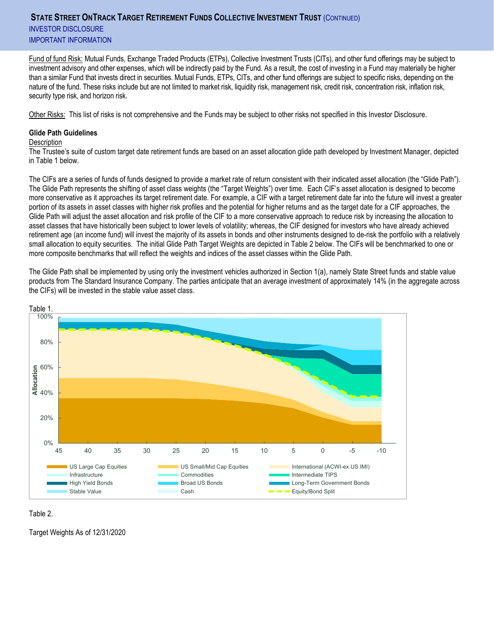# **STATE STREET ONTRACK TARGET RETIREMENT FUNDS COLLECTIVE INVESTMENT TRUST** (CONTINUED) INVESTOR DISCLOSURE IMPORTANT INFORMATION

Fund of fund Risk: Mutual Funds, Exchange Traded Products (ETPs), Collective Investment Trusts (CITs), and other fund offerings may be subject to investment advisory and other expenses, which will be indirectly paid by the Fund. As a result, the cost of investing in a Fund may materially be higher than a similar Fund that invests direct in securities. Mutual Funds, ETPs, CITs, and other fund offerings are subject to specific risks, depending on the nature of the fund. These risks include but are not limited to market risk, liquidity risk, management risk, credit risk, concentration risk, inflation risk, security type risk, and horizon risk.

Other Risks: This list of risks is not comprehensive and the Funds may be subject to other risks not specified in this Investor Disclosure.

#### **Glide Path Guidelines**

#### **Description**

The Trustee's suite of custom target date retirement funds are based on an asset allocation glide path developed by Investment Manager, depicted in Table 1 below.

The CIFs are a series of funds of funds designed to provide a market rate of return consistent with their indicated asset allocation (the "Glide Path"). The Glide Path represents the shifting of asset class weights (the "Target Weights") over time. Each CIF's asset allocation is designed to become more conservative as it approaches its target retirement date. For example, a CIF with a target retirement date far into the future will invest a greater portion of its assets in asset classes with higher risk profiles and the potential for higher returns and as the target date for a CIF approaches, the Glide Path will adjust the asset allocation and risk profile of the CIF to a more conservative approach to reduce risk by increasing the allocation to asset classes that have historically been subject to lower levels of volatility; whereas, the CIF designed for investors who have already achieved retirement age (an income fund) will invest the majority of its assets in bonds and other instruments designed to de-risk the portfolio with a relatively small allocation to equity securities. The initial Glide Path Target Weights are depicted in Table 2 below. The CIFs will be benchmarked to one or more composite benchmarks that will reflect the weights and indices of the asset classes within the Glide Path.

The Glide Path shall be implemented by using only the investment vehicles authorized in Section 1(a), namely State Street funds and stable value products from The Standard Insurance Company. The parties anticipate that an average investment of approximately 14% (in the aggregate across the CIFs) will be invested in the stable value asset class.



Table 2.

Target Weights As of 12/31/2020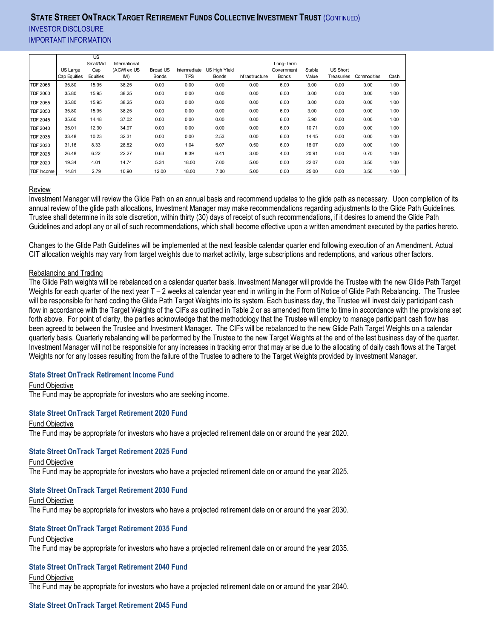# **STATE STREET ONTRACK TARGET RETIREMENT FUNDS COLLECTIVE INVESTMENT TRUST** (CONTINUED) **INVESTOR DISCLOSURE** IMPORTANT INFORMATION

|                 |              | <b>US</b><br>Small/Mid | International |                 |              |               |                |                         |        |                 |             |      |
|-----------------|--------------|------------------------|---------------|-----------------|--------------|---------------|----------------|-------------------------|--------|-----------------|-------------|------|
|                 | US Large     | Cap                    | (ACWI ex US   | <b>Broad US</b> | Intermediate | US High Yield |                | Long-Term<br>Government | Stable | <b>US Short</b> |             |      |
|                 | Cap Equities | Equities               | IMI)          | <b>Bonds</b>    | <b>TIPS</b>  | Bonds         | Infrastructure | Bonds                   | Value  | Treasuries      | Commodities | Cash |
| <b>TDF 2065</b> | 35.80        | 15.95                  | 38.25         | 0.00            | 0.00         | 0.00          | 0.00           | 6.00                    | 3.00   | 0.00            | 0.00        | 1.00 |
| <b>TDF 2060</b> | 35.80        | 15.95                  | 38.25         | 0.00            | 0.00         | 0.00          | 0.00           | 6.00                    | 3.00   | 0.00            | 0.00        | 1.00 |
| <b>TDF 2055</b> | 35.80        | 15.95                  | 38.25         | 0.00            | 0.00         | 0.00          | 0.00           | 6.00                    | 3.00   | 0.00            | 0.00        | 1.00 |
| <b>TDF 2050</b> | 35.80        | 15.95                  | 38.25         | 0.00            | 0.00         | 0.00          | 0.00           | 6.00                    | 3.00   | 0.00            | 0.00        | 1.00 |
| <b>TDF 2045</b> | 35.60        | 14.48                  | 37.02         | 0.00            | 0.00         | 0.00          | 0.00           | 6.00                    | 5.90   | 0.00            | 0.00        | 1.00 |
| <b>TDF 2040</b> | 35.01        | 12.30                  | 34.97         | 0.00            | 0.00         | 0.00          | 0.00           | 6.00                    | 10.71  | 0.00            | 0.00        | 1.00 |
| <b>TDF 2035</b> | 33.48        | 10.23                  | 32.31         | 0.00            | 0.00         | 2.53          | 0.00           | 6.00                    | 14.45  | 0.00            | 0.00        | 1.00 |
| <b>TDF 2030</b> | 31.16        | 8.33                   | 28.82         | 0.00            | 1.04         | 5.07          | 0.50           | 6.00                    | 18.07  | 0.00            | 0.00        | 1.00 |
| <b>TDF 2025</b> | 26.48        | 6.22                   | 22.27         | 0.63            | 8.39         | 6.41          | 3.00           | 4.00                    | 20.91  | 0.00            | 0.70        | 1.00 |
| <b>TDF 2020</b> | 19.34        | 4.01                   | 14.74         | 5.34            | 18.00        | 7.00          | 5.00           | 0.00                    | 22.07  | 0.00            | 3.50        | 1.00 |
| TDF Income      | 14.81        | 2.79                   | 10.90         | 12.00           | 18.00        | 7.00          | 5.00           | 0.00                    | 25.00  | 0.00            | 3.50        | 1.00 |

#### Review

Investment Manager will review the Glide Path on an annual basis and recommend updates to the glide path as necessary. Upon completion of its annual review of the glide path allocations, Investment Manager may make recommendations regarding adjustments to the Glide Path Guidelines. Trustee shall determine in its sole discretion, within thirty (30) days of receipt of such recommendations, if it desires to amend the Glide Path Guidelines and adopt any or all of such recommendations, which shall become effective upon a written amendment executed by the parties hereto.

Changes to the Glide Path Guidelines will be implemented at the next feasible calendar quarter end following execution of an Amendment. Actual CIT allocation weights may vary from target weights due to market activity, large subscriptions and redemptions, and various other factors.

# Rebalancing and Trading

The Glide Path weights will be rebalanced on a calendar quarter basis. Investment Manager will provide the Trustee with the new Glide Path Target Weights for each quarter of the next year T – 2 weeks at calendar year end in writing in the Form of Notice of Glide Path Rebalancing. The Trustee will be responsible for hard coding the Glide Path Target Weights into its system. Each business day, the Trustee will invest daily participant cash flow in accordance with the Target Weights of the CIFs as outlined in Table 2 or as amended from time to time in accordance with the provisions set forth above. For point of clarity, the parties acknowledge that the methodology that the Trustee will employ to manage participant cash flow has been agreed to between the Trustee and Investment Manager. The CIFs will be rebalanced to the new Glide Path Target Weights on a calendar quarterly basis. Quarterly rebalancing will be performed by the Trustee to the new Target Weights at the end of the last business day of the quarter. Investment Manager will not be responsible for any increases in tracking error that may arise due to the allocating of daily cash flows at the Target Weights nor for any losses resulting from the failure of the Trustee to adhere to the Target Weights provided by Investment Manager.

# **State Street OnTrack Retirement Income Fund**

Fund Objective

The Fund may be appropriate for investors who are seeking income.

#### **State Street OnTrack Target Retirement 2020 Fund**

Fund Objective The Fund may be appropriate for investors who have a projected retirement date on or around the year 2020.

#### **State Street OnTrack Target Retirement 2025 Fund**

Fund Objective

The Fund may be appropriate for investors who have a projected retirement date on or around the year 2025.

#### **State Street OnTrack Target Retirement 2030 Fund**

Fund Objective The Fund may be appropriate for investors who have a projected retirement date on or around the year 2030.

# **State Street OnTrack Target Retirement 2035 Fund**

#### Fund Objective

The Fund may be appropriate for investors who have a projected retirement date on or around the year 2035.

#### **State Street OnTrack Target Retirement 2040 Fund**

Fund Objective

The Fund may be appropriate for investors who have a projected retirement date on or around the year 2040.

# **State Street OnTrack Target Retirement 2045 Fund**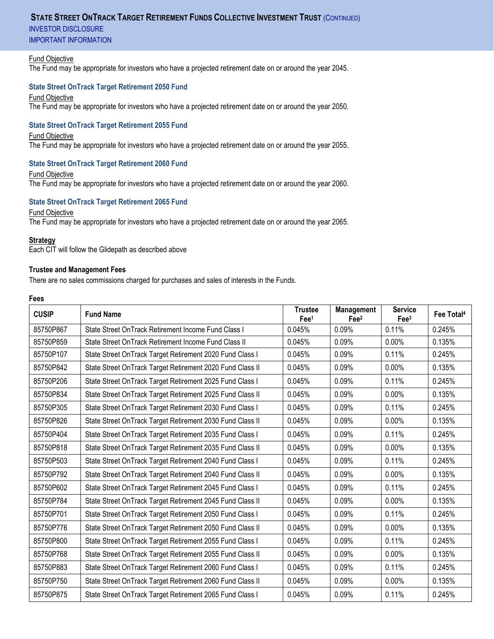# **STATE STREET ONTRACK TARGET RETIREMENT FUNDS COLLECTIVE INVESTMENT TRUST (CONTINUED)**

INVESTOR DISCLOSURE

IMPORTANT INFORMATION

#### Fund Objective

The Fund may be appropriate for investors who have a projected retirement date on or around the year 2045.

# **State Street OnTrack Target Retirement 2050 Fund**

Fund Objective

The Fund may be appropriate for investors who have a projected retirement date on or around the year 2050.

# **State Street OnTrack Target Retirement 2055 Fund**

#### Fund Objective

The Fund may be appropriate for investors who have a projected retirement date on or around the year 2055.

# **State Street OnTrack Target Retirement 2060 Fund**

Fund Objective

The Fund may be appropriate for investors who have a projected retirement date on or around the year 2060.

# **State Street OnTrack Target Retirement 2065 Fund**

# Fund Objective

The Fund may be appropriate for investors who have a projected retirement date on or around the year 2065.

#### **Strategy**

Each CIT will follow the Glidepath as described above

# **Trustee and Management Fees**

There are no sales commissions charged for purchases and sales of interests in the Funds.

#### **Fees**

| <b>CUSIP</b> | <b>Fund Name</b>                                          | <b>Trustee</b><br>Fee <sup>1</sup> | Management<br>Fee <sup>2</sup> | <b>Service</b><br>$\text{Fe}^{3}$ | Fee Total <sup>4</sup> |
|--------------|-----------------------------------------------------------|------------------------------------|--------------------------------|-----------------------------------|------------------------|
| 85750P867    | State Street OnTrack Retirement Income Fund Class I       | 0.045%                             | 0.09%                          | 0.11%                             | 0.245%                 |
| 85750P859    | State Street OnTrack Retirement Income Fund Class II      | 0.045%                             | 0.09%                          | 0.00%                             | 0.135%                 |
| 85750P107    | State Street OnTrack Target Retirement 2020 Fund Class I  | 0.045%                             | 0.09%                          | 0.11%                             | 0.245%                 |
| 85750P842    | State Street OnTrack Target Retirement 2020 Fund Class II | 0.045%                             | 0.09%                          | 0.00%                             | 0.135%                 |
| 85750P206    | State Street OnTrack Target Retirement 2025 Fund Class I  | 0.045%                             | 0.09%                          | 0.11%                             | 0.245%                 |
| 85750P834    | State Street OnTrack Target Retirement 2025 Fund Class II | 0.045%                             | 0.09%                          | 0.00%                             | 0.135%                 |
| 85750P305    | State Street OnTrack Target Retirement 2030 Fund Class I  | 0.045%                             | 0.09%                          | 0.11%                             | 0.245%                 |
| 85750P826    | State Street OnTrack Target Retirement 2030 Fund Class II | 0.045%                             | 0.09%                          | 0.00%                             | 0.135%                 |
| 85750P404    | State Street OnTrack Target Retirement 2035 Fund Class I  | 0.045%                             | 0.09%                          | 0.11%                             | 0.245%                 |
| 85750P818    | State Street OnTrack Target Retirement 2035 Fund Class II | 0.045%                             | 0.09%                          | 0.00%                             | 0.135%                 |
| 85750P503    | State Street OnTrack Target Retirement 2040 Fund Class I  | 0.045%                             | 0.09%                          | 0.11%                             | 0.245%                 |
| 85750P792    | State Street OnTrack Target Retirement 2040 Fund Class II | 0.045%                             | 0.09%                          | 0.00%                             | 0.135%                 |
| 85750P602    | State Street OnTrack Target Retirement 2045 Fund Class I  | 0.045%                             | 0.09%                          | 0.11%                             | 0.245%                 |
| 85750P784    | State Street OnTrack Target Retirement 2045 Fund Class II | 0.045%                             | 0.09%                          | 0.00%                             | 0.135%                 |
| 85750P701    | State Street OnTrack Target Retirement 2050 Fund Class I  | 0.045%                             | 0.09%                          | 0.11%                             | 0.245%                 |
| 85750P776    | State Street OnTrack Target Retirement 2050 Fund Class II | 0.045%                             | 0.09%                          | 0.00%                             | 0.135%                 |
| 85750P800    | State Street OnTrack Target Retirement 2055 Fund Class I  | 0.045%                             | 0.09%                          | 0.11%                             | 0.245%                 |
| 85750P768    | State Street OnTrack Target Retirement 2055 Fund Class II | 0.045%                             | 0.09%                          | 0.00%                             | 0.135%                 |
| 85750P883    | State Street OnTrack Target Retirement 2060 Fund Class I  | 0.045%                             | 0.09%                          | 0.11%                             | 0.245%                 |
| 85750P750    | State Street OnTrack Target Retirement 2060 Fund Class II | 0.045%                             | 0.09%                          | 0.00%                             | 0.135%                 |
| 85750P875    | State Street OnTrack Target Retirement 2065 Fund Class I  | 0.045%                             | 0.09%                          | 0.11%                             | 0.245%                 |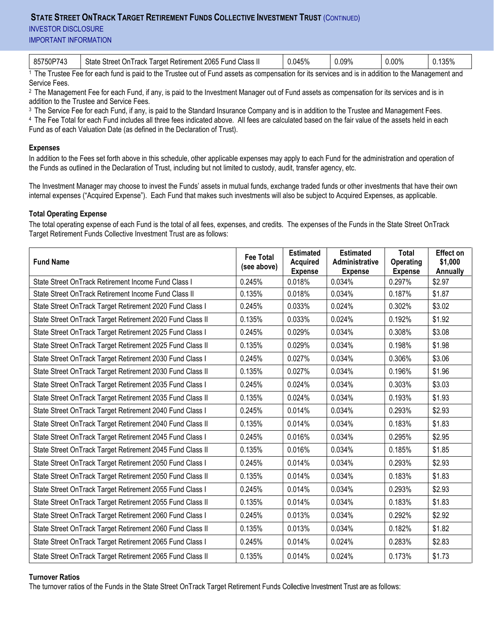# **STATE STREET ONTRACK TARGET RETIREMENT FUNDS COLLECTIVE INVESTMENT TRUST** (CONTINUED)

**INVESTOR DISCLOSURE** 

IMPORTANT INFORMATION

|--|

1 The Trustee Fee for each fund is paid to the Trustee out of Fund assets as compensation for its services and is in addition to the Management and Service Fees.

2 The Management Fee for each Fund, if any, is paid to the Investment Manager out of Fund assets as compensation for its services and is in addition to the Trustee and Service Fees.

<sup>3</sup> The Service Fee for each Fund, if any, is paid to the Standard Insurance Company and is in addition to the Trustee and Management Fees. 4 The Fee Total for each Fund includes all three fees indicated above. All fees are calculated based on the fair value of the assets held in each Fund as of each Valuation Date (as defined in the Declaration of Trust).

# **Expenses**

In addition to the Fees set forth above in this schedule, other applicable expenses may apply to each Fund for the administration and operation of the Funds as outlined in the Declaration of Trust, including but not limited to custody, audit, transfer agency, etc.

The Investment Manager may choose to invest the Funds' assets in mutual funds, exchange traded funds or other investments that have their own internal expenses ("Acquired Expense"). Each Fund that makes such investments will also be subject to Acquired Expenses, as applicable.

# **Total Operating Expense**

The total operating expense of each Fund is the total of all fees, expenses, and credits. The expenses of the Funds in the State Street OnTrack Target Retirement Funds Collective Investment Trust are as follows:

| <b>Fund Name</b>                                          | <b>Fee Total</b><br>(see above) | <b>Estimated</b><br><b>Acquired</b><br><b>Expense</b> | <b>Estimated</b><br>Administrative<br><b>Expense</b> | <b>Total</b><br>Operating<br><b>Expense</b> | <b>Effect on</b><br>\$1,000<br><b>Annually</b> |
|-----------------------------------------------------------|---------------------------------|-------------------------------------------------------|------------------------------------------------------|---------------------------------------------|------------------------------------------------|
| State Street OnTrack Retirement Income Fund Class I       | 0.245%                          | 0.018%                                                | 0.034%                                               | 0.297%                                      | \$2.97                                         |
| State Street OnTrack Retirement Income Fund Class II      | 0.135%                          | 0.018%                                                | 0.034%                                               | 0.187%                                      | \$1.87                                         |
| State Street OnTrack Target Retirement 2020 Fund Class I  | 0.245%                          | 0.033%                                                | 0.024%                                               | 0.302%                                      | \$3.02                                         |
| State Street OnTrack Target Retirement 2020 Fund Class II | 0.135%                          | 0.033%                                                | 0.024%                                               | 0.192%                                      | \$1.92                                         |
| State Street OnTrack Target Retirement 2025 Fund Class I  | 0.245%                          | 0.029%                                                | 0.034%                                               | 0.308%                                      | \$3.08                                         |
| State Street OnTrack Target Retirement 2025 Fund Class II | 0.135%                          | 0.029%                                                | 0.034%                                               | 0.198%                                      | \$1.98                                         |
| State Street OnTrack Target Retirement 2030 Fund Class I  | 0.245%                          | 0.027%                                                | 0.034%                                               | 0.306%                                      | \$3.06                                         |
| State Street OnTrack Target Retirement 2030 Fund Class II | 0.135%                          | 0.027%                                                | 0.034%                                               | 0.196%                                      | \$1.96                                         |
| State Street OnTrack Target Retirement 2035 Fund Class I  | 0.245%                          | 0.024%                                                | 0.034%                                               | 0.303%                                      | \$3.03                                         |
| State Street OnTrack Target Retirement 2035 Fund Class II | 0.135%                          | 0.024%                                                | 0.034%                                               | 0.193%                                      | \$1.93                                         |
| State Street OnTrack Target Retirement 2040 Fund Class I  | 0.245%                          | 0.014%                                                | 0.034%                                               | 0.293%                                      | \$2.93                                         |
| State Street OnTrack Target Retirement 2040 Fund Class II | 0.135%                          | 0.014%                                                | 0.034%                                               | 0.183%                                      | \$1.83                                         |
| State Street OnTrack Target Retirement 2045 Fund Class I  | 0.245%                          | 0.016%                                                | 0.034%                                               | 0.295%                                      | \$2.95                                         |
| State Street OnTrack Target Retirement 2045 Fund Class II | 0.135%                          | 0.016%                                                | 0.034%                                               | 0.185%                                      | \$1.85                                         |
| State Street OnTrack Target Retirement 2050 Fund Class I  | 0.245%                          | 0.014%                                                | 0.034%                                               | 0.293%                                      | \$2.93                                         |
| State Street OnTrack Target Retirement 2050 Fund Class II | 0.135%                          | 0.014%                                                | 0.034%                                               | 0.183%                                      | \$1.83                                         |
| State Street OnTrack Target Retirement 2055 Fund Class I  | 0.245%                          | 0.014%                                                | 0.034%                                               | 0.293%                                      | \$2.93                                         |
| State Street OnTrack Target Retirement 2055 Fund Class II | 0.135%                          | 0.014%                                                | 0.034%                                               | 0.183%                                      | \$1.83                                         |
| State Street OnTrack Target Retirement 2060 Fund Class I  | 0.245%                          | 0.013%                                                | 0.034%                                               | 0.292%                                      | \$2.92                                         |
| State Street OnTrack Target Retirement 2060 Fund Class II | 0.135%                          | 0.013%                                                | 0.034%                                               | 0.182%                                      | \$1.82                                         |
| State Street OnTrack Target Retirement 2065 Fund Class I  | 0.245%                          | 0.014%                                                | 0.024%                                               | 0.283%                                      | \$2.83                                         |
| State Street OnTrack Target Retirement 2065 Fund Class II | 0.135%                          | 0.014%                                                | 0.024%                                               | 0.173%                                      | \$1.73                                         |

# **Turnover Ratios**

The turnover ratios of the Funds in the State Street OnTrack Target Retirement Funds Collective Investment Trust are as follows: